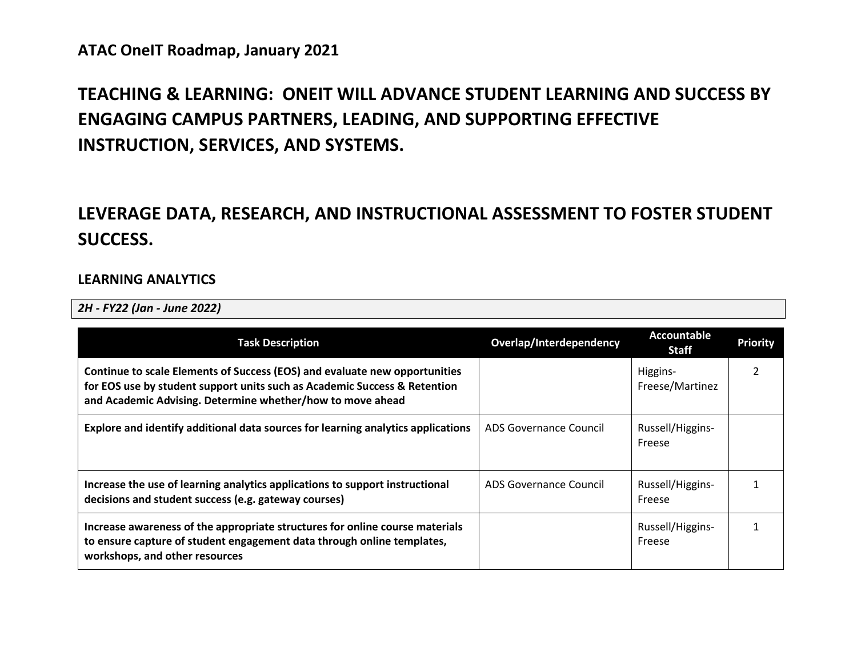# **TEACHING & LEARNING: ONEIT WILL ADVANCE STUDENT LEARNING AND SUCCESS BY ENGAGING CAMPUS PARTNERS, LEADING, AND SUPPORTING EFFECTIVE INSTRUCTION, SERVICES, AND SYSTEMS.**

# **LEVERAGE DATA, RESEARCH, AND INSTRUCTIONAL ASSESSMENT TO FOSTER STUDENT SUCCESS.**

#### **LEARNING ANALYTICS**

*2H - FY22 (Jan - June 2022)*

| <b>Task Description</b>                                                                                                                                                                                               | Overlap/Interdependency | Accountable<br><b>Staff</b> | <b>Priority</b> |
|-----------------------------------------------------------------------------------------------------------------------------------------------------------------------------------------------------------------------|-------------------------|-----------------------------|-----------------|
| Continue to scale Elements of Success (EOS) and evaluate new opportunities<br>for EOS use by student support units such as Academic Success & Retention<br>and Academic Advising. Determine whether/how to move ahead |                         | Higgins-<br>Freese/Martinez |                 |
| Explore and identify additional data sources for learning analytics applications                                                                                                                                      | ADS Governance Council  | Russell/Higgins-<br>Freese  |                 |
| Increase the use of learning analytics applications to support instructional<br>decisions and student success (e.g. gateway courses)                                                                                  | ADS Governance Council  | Russell/Higgins-<br>Freese  |                 |
| Increase awareness of the appropriate structures for online course materials<br>to ensure capture of student engagement data through online templates,<br>workshops, and other resources                              |                         | Russell/Higgins-<br>Freese  |                 |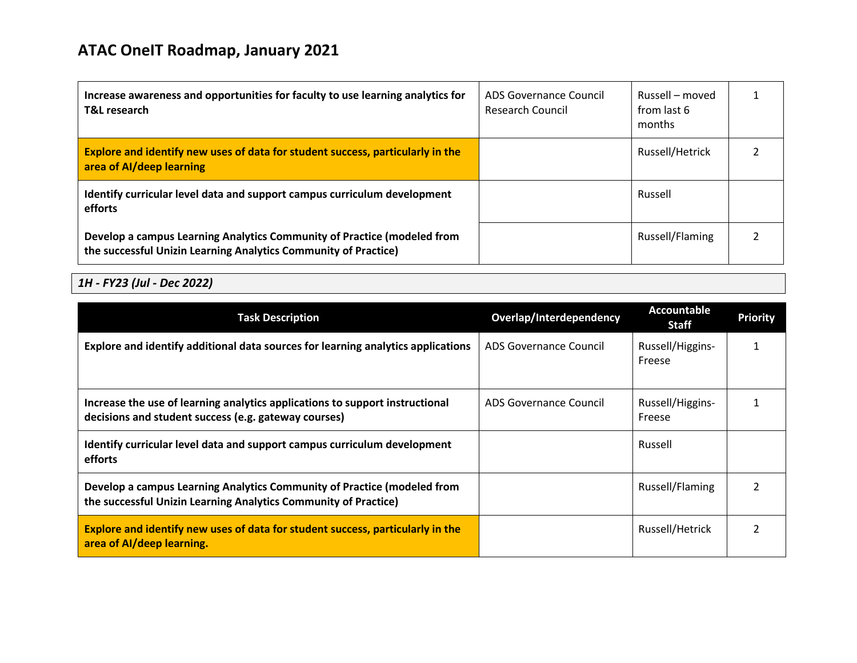| Increase awareness and opportunities for faculty to use learning analytics for<br><b>T&amp;L research</b>                                  | ADS Governance Council<br><b>Research Council</b> | Russell – moved<br>from last 6<br>months |  |
|--------------------------------------------------------------------------------------------------------------------------------------------|---------------------------------------------------|------------------------------------------|--|
| Explore and identify new uses of data for student success, particularly in the<br>area of Al/deep learning                                 |                                                   | Russell/Hetrick                          |  |
| Identify curricular level data and support campus curriculum development<br>efforts                                                        |                                                   | Russell                                  |  |
| Develop a campus Learning Analytics Community of Practice (modeled from<br>the successful Unizin Learning Analytics Community of Practice) |                                                   | Russell/Flaming                          |  |

| <b>Task Description</b>                                                                                                                    | Overlap/Interdependency | Accountable<br><b>Staff</b> | <b>Priority</b> |
|--------------------------------------------------------------------------------------------------------------------------------------------|-------------------------|-----------------------------|-----------------|
| Explore and identify additional data sources for learning analytics applications                                                           | ADS Governance Council  | Russell/Higgins-<br>Freese  |                 |
| Increase the use of learning analytics applications to support instructional<br>decisions and student success (e.g. gateway courses)       | ADS Governance Council  | Russell/Higgins-<br>Freese  |                 |
| Identify curricular level data and support campus curriculum development<br>efforts                                                        |                         | Russell                     |                 |
| Develop a campus Learning Analytics Community of Practice (modeled from<br>the successful Unizin Learning Analytics Community of Practice) |                         | Russell/Flaming             |                 |
| Explore and identify new uses of data for student success, particularly in the<br>area of Al/deep learning.                                |                         | Russell/Hetrick             | 2               |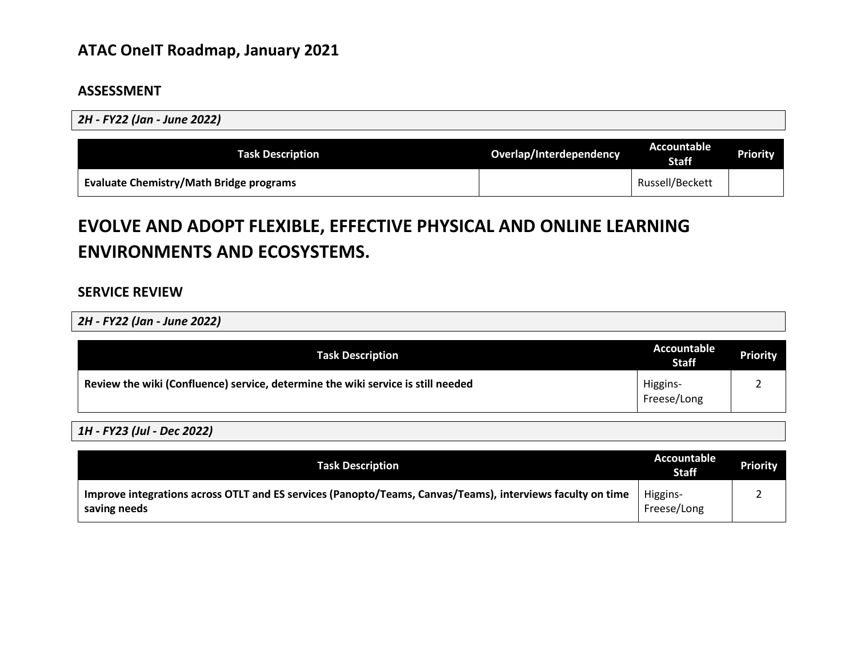#### **ASSESSMENT**

*2H - FY22 (Jan - June 2022)*

| <b>Task Description</b>                        | Overlap/Interdependency | Accountable<br><b>Staff</b> | <b>Priority</b> |
|------------------------------------------------|-------------------------|-----------------------------|-----------------|
| <b>Evaluate Chemistry/Math Bridge programs</b> |                         | Russell/Beckett             |                 |

# **EVOLVE AND ADOPT FLEXIBLE, EFFECTIVE PHYSICAL AND ONLINE LEARNING ENVIRONMENTS AND ECOSYSTEMS.**

### **SERVICE REVIEW**

*2H - FY22 (Jan - June 2022)*

| <b>Task Description</b>                                                          | <b>Accountable</b><br><b>Staff</b> | <b>Priority</b> |
|----------------------------------------------------------------------------------|------------------------------------|-----------------|
| Review the wiki (Confluence) service, determine the wiki service is still needed | Higgins-<br>Freese/Long            |                 |

| <b>Task Description</b>                                                                                                    | Accountable<br><b>Staff</b> | <b>Priority</b> |
|----------------------------------------------------------------------------------------------------------------------------|-----------------------------|-----------------|
| Improve integrations across OTLT and ES services (Panopto/Teams, Canvas/Teams), interviews faculty on time<br>saving needs | Higgins-<br>Freese/Long     |                 |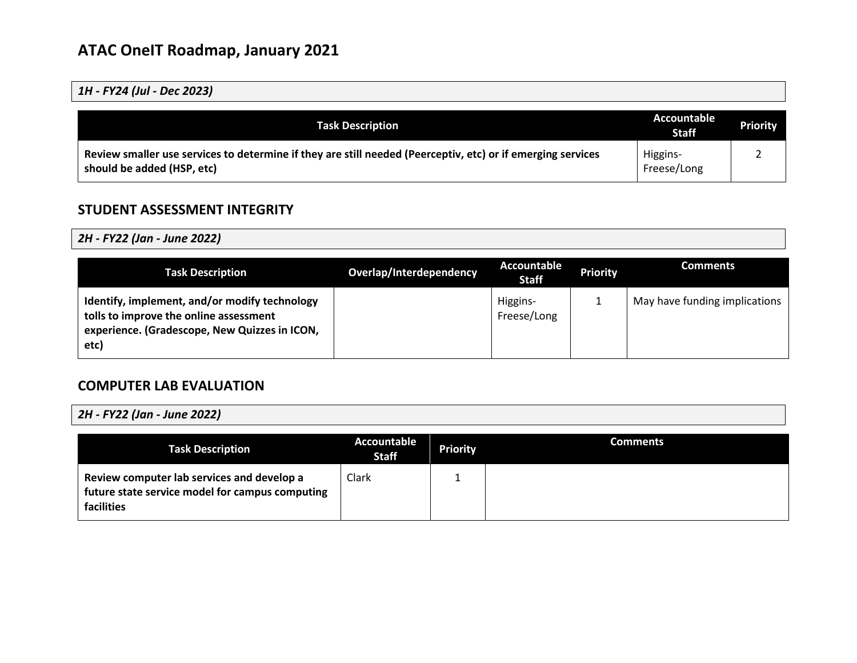| 1H - FY24 (Jul - Dec 2023) |  |  |
|----------------------------|--|--|
|----------------------------|--|--|

| <b>Task Description</b>                                                                                                                   | Accountable<br><b>Staff</b> | <b>Priority</b> |
|-------------------------------------------------------------------------------------------------------------------------------------------|-----------------------------|-----------------|
| Review smaller use services to determine if they are still needed (Peerceptiv, etc) or if emerging services<br>should be added (HSP, etc) | Higgins-<br>Freese/Long     |                 |

## **STUDENT ASSESSMENT INTEGRITY**

*2H - FY22 (Jan - June 2022)*

| <b>Task Description</b>                                                                                                                          | Overlap/Interdependency | <b>Accountable</b><br><b>Staff</b> | <b>Priority</b> | <b>Comments</b>               |
|--------------------------------------------------------------------------------------------------------------------------------------------------|-------------------------|------------------------------------|-----------------|-------------------------------|
| Identify, implement, and/or modify technology<br>tolls to improve the online assessment<br>experience. (Gradescope, New Quizzes in ICON,<br>etc) |                         | Higgins-<br>Freese/Long            |                 | May have funding implications |

### **COMPUTER LAB EVALUATION**

*2H - FY22 (Jan - June 2022)*

| <b>Task Description</b>                                                                                     | Accountable<br><b>Staff</b> | <b>Priority</b> | <b>Comments</b> |
|-------------------------------------------------------------------------------------------------------------|-----------------------------|-----------------|-----------------|
| Review computer lab services and develop a<br>future state service model for campus computing<br>facilities | Clark                       |                 |                 |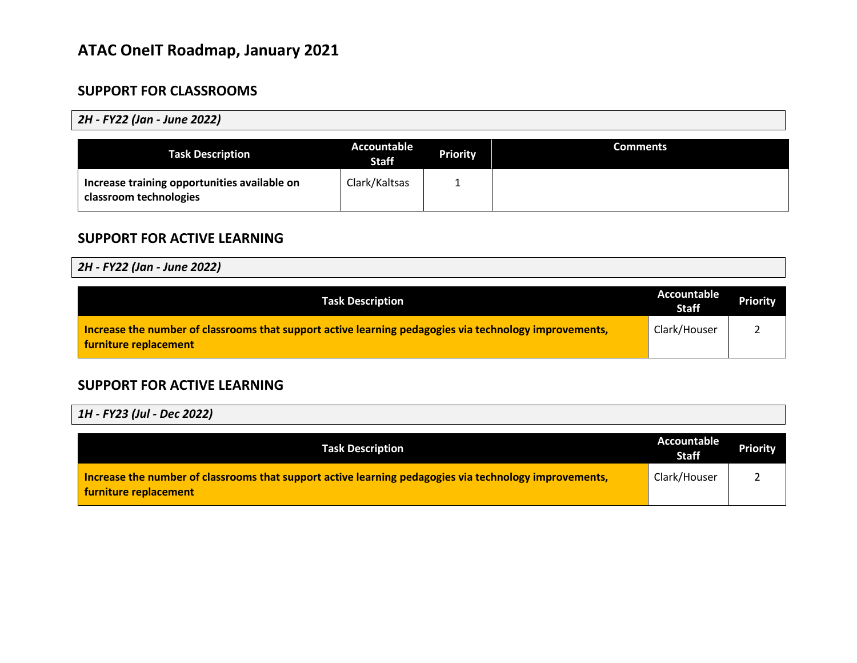## **SUPPORT FOR CLASSROOMS**

#### *2H - FY22 (Jan - June 2022)*

| <b>Task Description</b>                                                | Accountable<br><b>Staff</b> | <b>Priority</b> | <b>Comments</b> |
|------------------------------------------------------------------------|-----------------------------|-----------------|-----------------|
| Increase training opportunities available on<br>classroom technologies | Clark/Kaltsas               |                 |                 |

### **SUPPORT FOR ACTIVE LEARNING**

#### *2H - FY22 (Jan - June 2022)*

| <b>Task Description</b>                                                                                                         | Accountable<br><b>Staff</b> | <b>Priority</b> |
|---------------------------------------------------------------------------------------------------------------------------------|-----------------------------|-----------------|
| Increase the number of classrooms that support active learning pedagogies via technology improvements,<br>furniture replacement | Clark/Houser                |                 |

#### **SUPPORT FOR ACTIVE LEARNING**

| <b>Task Description</b>                                                                                                         | Accountable<br><b>Staff</b> | <b>Priority</b> |
|---------------------------------------------------------------------------------------------------------------------------------|-----------------------------|-----------------|
| Increase the number of classrooms that support active learning pedagogies via technology improvements,<br>furniture replacement | Clark/Houser                |                 |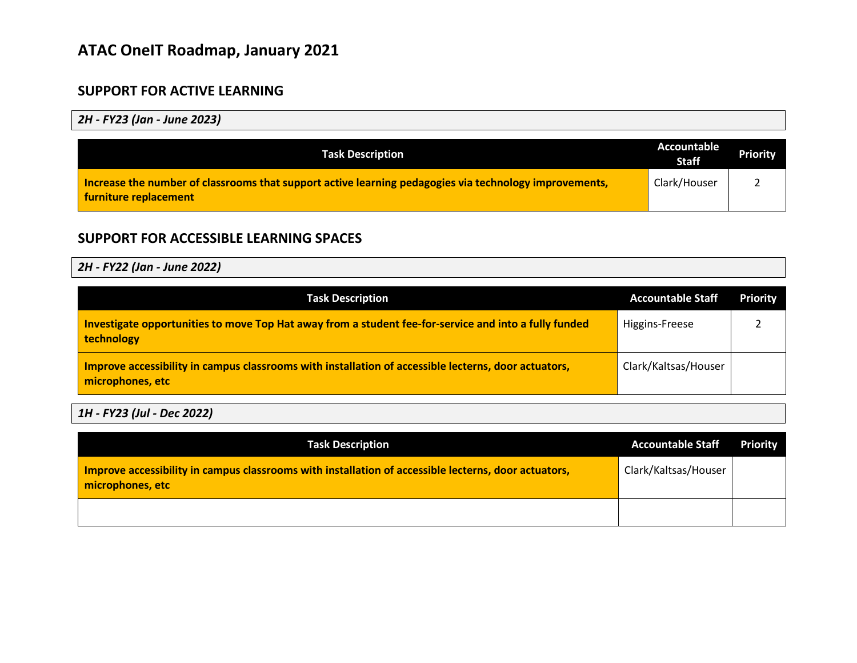## **SUPPORT FOR ACTIVE LEARNING**

*2H - FY23 (Jan - June 2023)*

| <b>Task Description</b>                                                                                                         | Accountable<br><b>Staff</b> | <b>Priority</b> |
|---------------------------------------------------------------------------------------------------------------------------------|-----------------------------|-----------------|
| Increase the number of classrooms that support active learning pedagogies via technology improvements,<br>furniture replacement | Clark/Houser                |                 |

## **SUPPORT FOR ACCESSIBLE LEARNING SPACES**

*2H - FY22 (Jan - June 2022)*

| <b>Task Description</b>                                                                                                  | <b>Accountable Staff</b> | <b>Priority</b> |
|--------------------------------------------------------------------------------------------------------------------------|--------------------------|-----------------|
| Investigate opportunities to move Top Hat away from a student fee-for-service and into a fully funded<br>technology      | Higgins-Freese           |                 |
| Improve accessibility in campus classrooms with installation of accessible lecterns, door actuators,<br>microphones, etc | Clark/Kaltsas/Houser     |                 |

| <b>Task Description</b>                                                                                                  | <b>Accountable Staff</b> | Priority |
|--------------------------------------------------------------------------------------------------------------------------|--------------------------|----------|
| Improve accessibility in campus classrooms with installation of accessible lecterns, door actuators,<br>microphones, etc | Clark/Kaltsas/Houser     |          |
|                                                                                                                          |                          |          |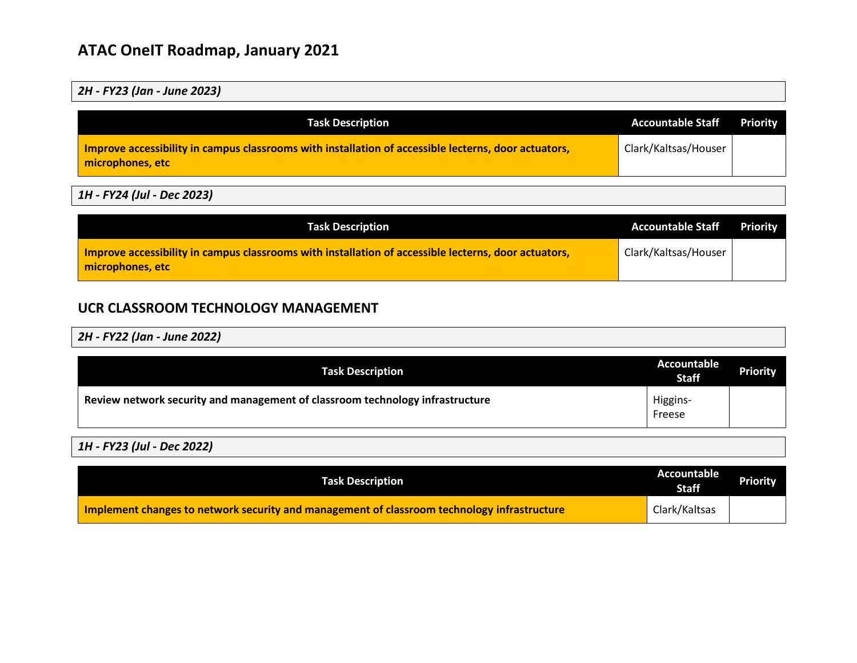#### *2H - FY23 (Jan - June 2023)*

| <b>Task Description</b>                                                                                                  | <b>Accountable Staff</b> | <b>Priority</b> |
|--------------------------------------------------------------------------------------------------------------------------|--------------------------|-----------------|
| Improve accessibility in campus classrooms with installation of accessible lecterns, door actuators,<br>microphones, etc | Clark/Kaltsas/Houser     |                 |

### *1H - FY24 (Jul - Dec 2023)*

| <b>Task Description</b>                                                                                                  | <b>Accountable Staff</b> | <b>Priority</b> |
|--------------------------------------------------------------------------------------------------------------------------|--------------------------|-----------------|
| Improve accessibility in campus classrooms with installation of accessible lecterns, door actuators,<br>microphones, etc | Clark/Kaltsas/Houser     |                 |

## **UCR CLASSROOM TECHNOLOGY MANAGEMENT**

*2H - FY22 (Jan - June 2022)*

| <b>Task Description</b>                                                       | Accountable<br><b>Staff</b> | <b>Priority</b> |
|-------------------------------------------------------------------------------|-----------------------------|-----------------|
| Review network security and management of classroom technology infrastructure | Higgins-<br>Freese          |                 |

| <b>Task Description</b>                                                                     | Accountable<br><b>Staff</b> | <b>Priority</b> |
|---------------------------------------------------------------------------------------------|-----------------------------|-----------------|
| Implement changes to network security and management of classroom technology infrastructure | Clark/Kaltsas               |                 |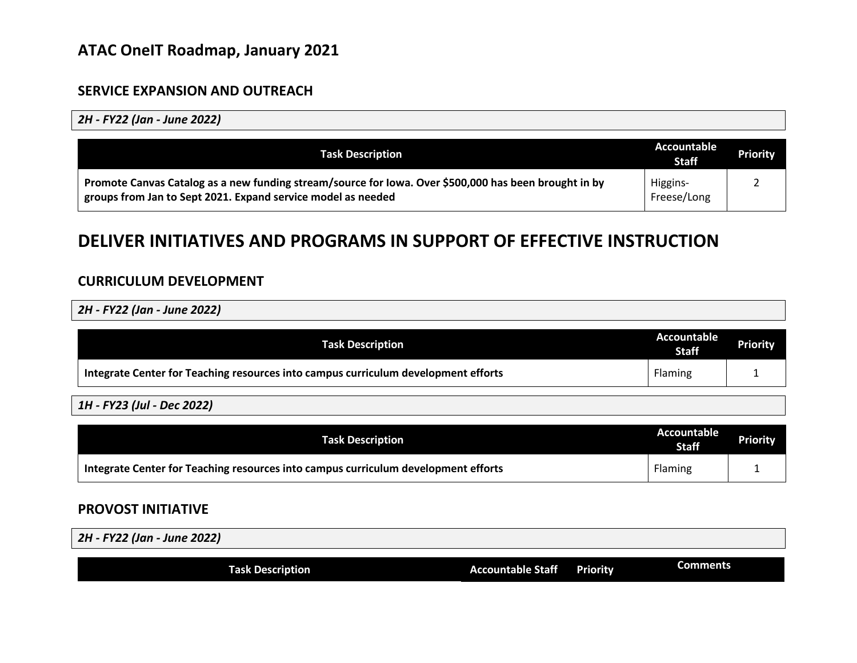#### **SERVICE EXPANSION AND OUTREACH**

*2H - FY22 (Jan - June 2022)*

| <b>Task Description</b>                                                                                                                                               | Accountable<br><b>Staff</b> | <b>Priority</b> |
|-----------------------------------------------------------------------------------------------------------------------------------------------------------------------|-----------------------------|-----------------|
| Promote Canvas Catalog as a new funding stream/source for Iowa. Over \$500,000 has been brought in by<br>groups from Jan to Sept 2021. Expand service model as needed | Higgins-<br>Freese/Long     |                 |

## **DELIVER INITIATIVES AND PROGRAMS IN SUPPORT OF EFFECTIVE INSTRUCTION**

## **CURRICULUM DEVELOPMENT**

*2H - FY22 (Jan - June 2022)*

| <b>Task Description</b>                                                            | Accountable<br><b>Staff</b> | <b>Priority</b> |
|------------------------------------------------------------------------------------|-----------------------------|-----------------|
| Integrate Center for Teaching resources into campus curriculum development efforts | Flaming                     |                 |

*1H - FY23 (Jul - Dec 2022)*

| <b>Task Description</b>                                                            | Accountable<br><b>Staff</b> | <b>Priority</b> |
|------------------------------------------------------------------------------------|-----------------------------|-----------------|
| Integrate Center for Teaching resources into campus curriculum development efforts | Flaming                     |                 |

### **PROVOST INITIATIVE**

| 2H - FY22 (Jan - June 2022) |                          |                 |                 |
|-----------------------------|--------------------------|-----------------|-----------------|
|                             |                          |                 |                 |
| <b>Task Description</b>     | <b>Accountable Staff</b> | <b>Priority</b> | <b>Comments</b> |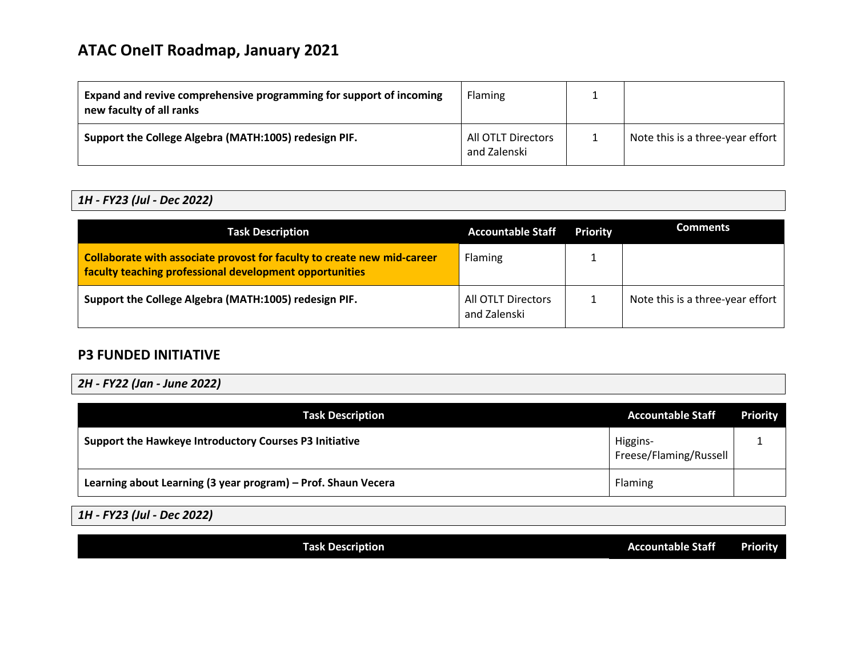| Expand and revive comprehensive programming for support of incoming<br>new faculty of all ranks | <b>Flaming</b>                     |                                  |
|-------------------------------------------------------------------------------------------------|------------------------------------|----------------------------------|
| Support the College Algebra (MATH:1005) redesign PIF.                                           | All OTLT Directors<br>and Zalenski | Note this is a three-year effort |

#### *1H - FY23 (Jul - Dec 2022)*

| <b>Task Description</b>                                                                                                            | <b>Accountable Staff</b>           | <b>Priority</b> | <b>Comments</b>                  |
|------------------------------------------------------------------------------------------------------------------------------------|------------------------------------|-----------------|----------------------------------|
| Collaborate with associate provost for faculty to create new mid-career<br>faculty teaching professional development opportunities | Flaming                            |                 |                                  |
| Support the College Algebra (MATH:1005) redesign PIF.                                                                              | All OTLT Directors<br>and Zalenski |                 | Note this is a three-year effort |

### **P3 FUNDED INITIATIVE**

*2H - FY22 (Jan - June 2022)*

| <b>Task Description</b>                                       | <b>Accountable Staff</b>           | <b>Priority</b> |
|---------------------------------------------------------------|------------------------------------|-----------------|
| Support the Hawkeye Introductory Courses P3 Initiative        | Higgins-<br>Freese/Flaming/Russell |                 |
| Learning about Learning (3 year program) - Prof. Shaun Vecera | Flaming                            |                 |

*1H - FY23 (Jul - Dec 2022)*

**Task Description Accountable Staff Priority**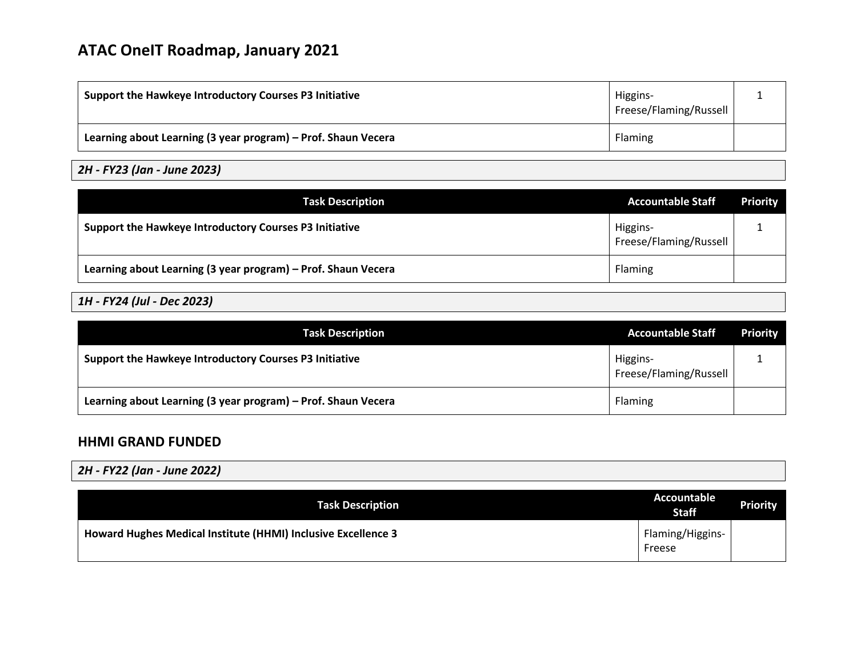| Support the Hawkeye Introductory Courses P3 Initiative        | Higgins-<br>Freese/Flaming/Russell |  |
|---------------------------------------------------------------|------------------------------------|--|
| Learning about Learning (3 year program) - Prof. Shaun Vecera | <b>Flaming</b>                     |  |

## *2H - FY23 (Jan - June 2023)*

| <b>Task Description</b>                                       | <b>Accountable Staff</b>           | <b>Priority</b> |
|---------------------------------------------------------------|------------------------------------|-----------------|
| Support the Hawkeye Introductory Courses P3 Initiative        | Higgins-<br>Freese/Flaming/Russell |                 |
| Learning about Learning (3 year program) - Prof. Shaun Vecera | <b>Flaming</b>                     |                 |

### *1H - FY24 (Jul - Dec 2023)*

| <b>Task Description</b>                                       | <b>Accountable Staff</b>           | <b>Priority</b> |
|---------------------------------------------------------------|------------------------------------|-----------------|
| Support the Hawkeye Introductory Courses P3 Initiative        | Higgins-<br>Freese/Flaming/Russell |                 |
| Learning about Learning (3 year program) - Prof. Shaun Vecera | <b>Flaming</b>                     |                 |

### **HHMI GRAND FUNDED**

| 2H - FY22 (Jan - June 2022)                                   |                             |                 |
|---------------------------------------------------------------|-----------------------------|-----------------|
| <b>Task Description</b>                                       | Accountable<br><b>Staff</b> | <b>Priority</b> |
| Howard Hughes Medical Institute (HHMI) Inclusive Excellence 3 | Flaming/Higgins-<br>Freese  |                 |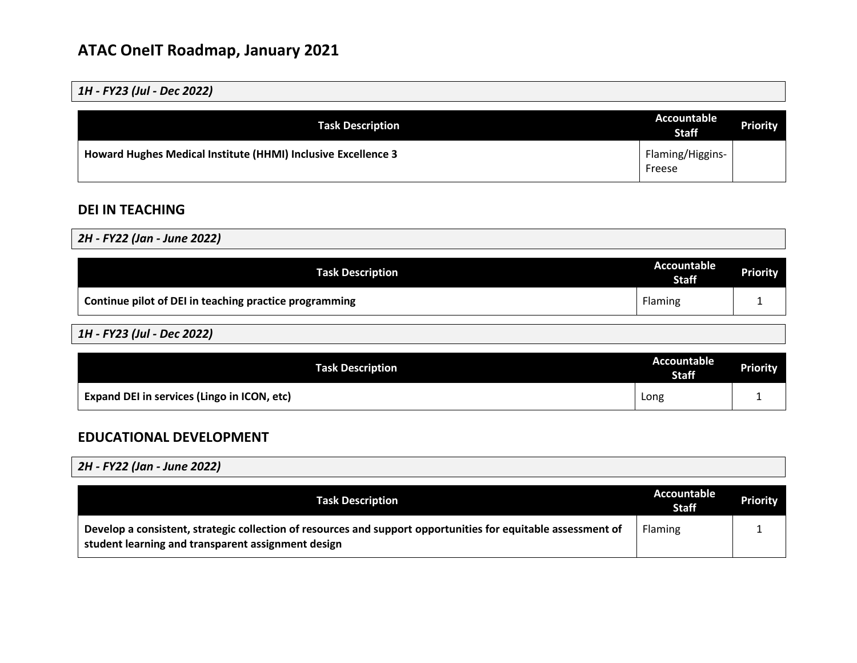*1H - FY23 (Jul - Dec 2022)*

| <b>Task Description</b>                                       | Accountable<br><b>Staff</b> | <b>Priority</b> |
|---------------------------------------------------------------|-----------------------------|-----------------|
| Howard Hughes Medical Institute (HHMI) Inclusive Excellence 3 | Flaming/Higgins-<br>Freese  |                 |

## **DEI IN TEACHING**

*2H - FY22 (Jan - June 2022)*

| <b>Task Description</b>                                | Accountable<br><b>Staff</b> | <b>Priority</b> |
|--------------------------------------------------------|-----------------------------|-----------------|
| Continue pilot of DEI in teaching practice programming | <b>Flaming</b>              |                 |

*1H - FY23 (Jul - Dec 2022)*

| <b>Task Description</b>                     | <b>Accountable</b><br><b>Staff</b> | <b>Priority</b> |
|---------------------------------------------|------------------------------------|-----------------|
| Expand DEI in services (Lingo in ICON, etc) | Long                               |                 |

## **EDUCATIONAL DEVELOPMENT**

*2H - FY22 (Jan - June 2022)*

| <b>Task Description</b>                                                                                                                                             | Accountable<br><b>Staff</b> | Priority |
|---------------------------------------------------------------------------------------------------------------------------------------------------------------------|-----------------------------|----------|
| Develop a consistent, strategic collection of resources and support opportunities for equitable assessment of<br>student learning and transparent assignment design | Flaming                     |          |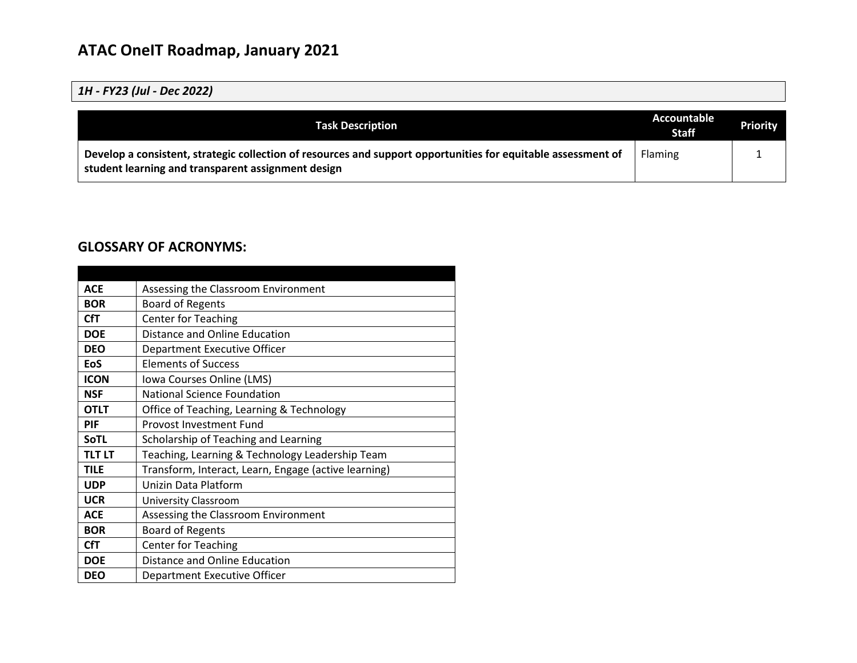### *1H - FY23 (Jul - Dec 2022)*

| <b>Task Description</b>                                                                                                                                             | Accountable<br><b>Staff</b> | <b>Priority</b> |
|---------------------------------------------------------------------------------------------------------------------------------------------------------------------|-----------------------------|-----------------|
| Develop a consistent, strategic collection of resources and support opportunities for equitable assessment of<br>student learning and transparent assignment design | Flaming                     |                 |

#### **GLOSSARY OF ACRONYMS:**

| <b>ACE</b>    | Assessing the Classroom Environment                  |
|---------------|------------------------------------------------------|
| <b>BOR</b>    | <b>Board of Regents</b>                              |
| <b>CfT</b>    | <b>Center for Teaching</b>                           |
| <b>DOE</b>    | Distance and Online Education                        |
| <b>DEO</b>    | Department Executive Officer                         |
| <b>EoS</b>    | <b>Elements of Success</b>                           |
| <b>ICON</b>   | Iowa Courses Online (LMS)                            |
| <b>NSF</b>    | <b>National Science Foundation</b>                   |
| <b>OTLT</b>   | Office of Teaching, Learning & Technology            |
| PIF           | <b>Provost Investment Fund</b>                       |
| <b>SoTL</b>   | Scholarship of Teaching and Learning                 |
| <b>TLT LT</b> | Teaching, Learning & Technology Leadership Team      |
| <b>TILE</b>   | Transform, Interact, Learn, Engage (active learning) |
| <b>UDP</b>    | Unizin Data Platform                                 |
| <b>UCR</b>    | <b>University Classroom</b>                          |
| <b>ACE</b>    | Assessing the Classroom Environment                  |
| <b>BOR</b>    | <b>Board of Regents</b>                              |
| CfT           | <b>Center for Teaching</b>                           |
| <b>DOE</b>    | Distance and Online Education                        |
| <b>DEO</b>    | Department Executive Officer                         |